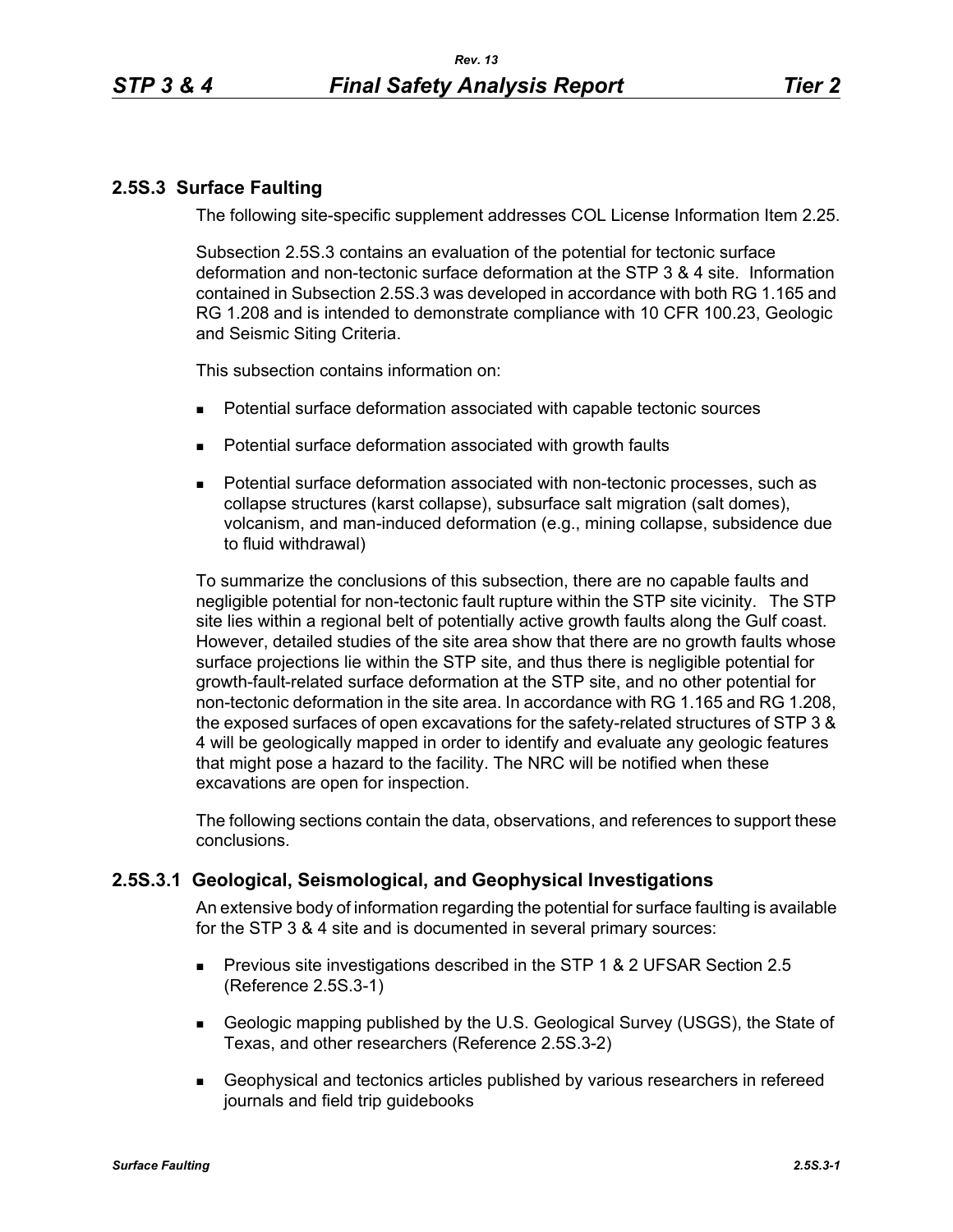# **2.5S.3 Surface Faulting**

The following site-specific supplement addresses COL License Information Item 2.25.

Subsection 2.5S.3 contains an evaluation of the potential for tectonic surface deformation and non-tectonic surface deformation at the STP 3 & 4 site. Information contained in Subsection 2.5S.3 was developed in accordance with both RG 1.165 and RG 1.208 and is intended to demonstrate compliance with 10 CFR 100.23, Geologic and Seismic Siting Criteria.

This subsection contains information on:

- Potential surface deformation associated with capable tectonic sources
- **Potential surface deformation associated with growth faults**
- Potential surface deformation associated with non-tectonic processes, such as collapse structures (karst collapse), subsurface salt migration (salt domes), volcanism, and man-induced deformation (e.g., mining collapse, subsidence due to fluid withdrawal)

To summarize the conclusions of this subsection, there are no capable faults and negligible potential for non-tectonic fault rupture within the STP site vicinity. The STP site lies within a regional belt of potentially active growth faults along the Gulf coast. However, detailed studies of the site area show that there are no growth faults whose surface projections lie within the STP site, and thus there is negligible potential for growth-fault-related surface deformation at the STP site, and no other potential for non-tectonic deformation in the site area. In accordance with RG 1.165 and RG 1.208, the exposed surfaces of open excavations for the safety-related structures of STP 3 & 4 will be geologically mapped in order to identify and evaluate any geologic features that might pose a hazard to the facility. The NRC will be notified when these excavations are open for inspection.

The following sections contain the data, observations, and references to support these conclusions.

# **2.5S.3.1 Geological, Seismological, and Geophysical Investigations**

An extensive body of information regarding the potential for surface faulting is available for the STP 3 & 4 site and is documented in several primary sources:

- **Previous site investigations described in the STP 1 & 2 UFSAR Section 2.5** (Reference 2.5S.3-1)
- Geologic mapping published by the U.S. Geological Survey (USGS), the State of Texas, and other researchers (Reference 2.5S.3-2)
- Geophysical and tectonics articles published by various researchers in refereed journals and field trip guidebooks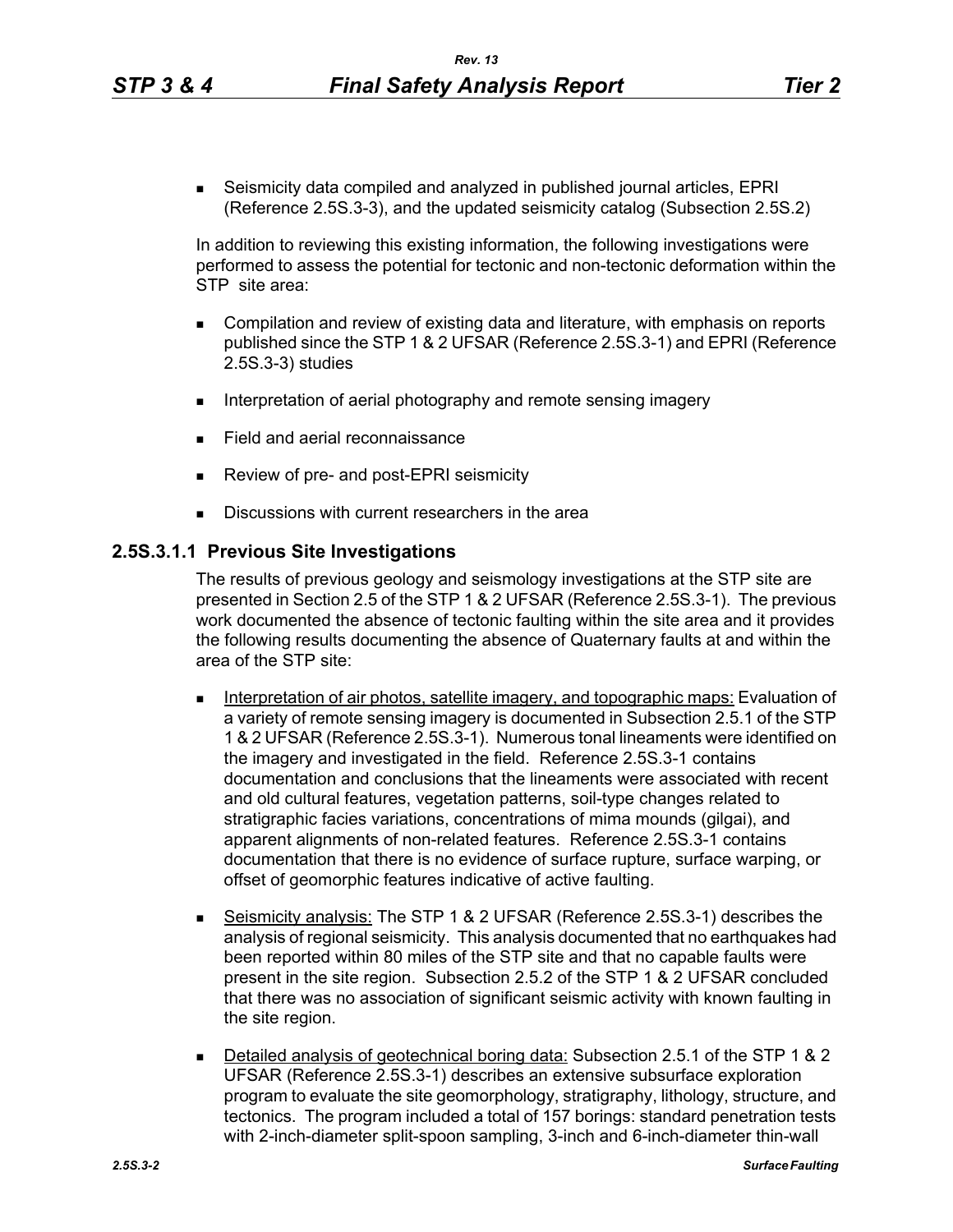Seismicity data compiled and analyzed in published journal articles, EPRI (Reference 2.5S.3-3), and the updated seismicity catalog (Subsection 2.5S.2)

In addition to reviewing this existing information, the following investigations were performed to assess the potential for tectonic and non-tectonic deformation within the STP site area:

- Compilation and review of existing data and literature, with emphasis on reports published since the STP 1 & 2 UFSAR (Reference 2.5S.3-1) and EPRI (Reference 2.5S.3-3) studies
- Interpretation of aerial photography and remote sensing imagery
- Field and aerial reconnaissance
- Review of pre- and post-EPRI seismicity
- Discussions with current researchers in the area

#### **2.5S.3.1.1 Previous Site Investigations**

The results of previous geology and seismology investigations at the STP site are presented in Section 2.5 of the STP 1 & 2 UFSAR (Reference 2.5S.3-1). The previous work documented the absence of tectonic faulting within the site area and it provides the following results documenting the absence of Quaternary faults at and within the area of the STP site:

- **Interpretation of air photos, satellite imagery, and topographic maps: Evaluation of** a variety of remote sensing imagery is documented in Subsection 2.5.1 of the STP 1 & 2 UFSAR (Reference 2.5S.3-1). Numerous tonal lineaments were identified on the imagery and investigated in the field. Reference 2.5S.3-1 contains documentation and conclusions that the lineaments were associated with recent and old cultural features, vegetation patterns, soil-type changes related to stratigraphic facies variations, concentrations of mima mounds (gilgai), and apparent alignments of non-related features. Reference 2.5S.3-1 contains documentation that there is no evidence of surface rupture, surface warping, or offset of geomorphic features indicative of active faulting.
- Seismicity analysis: The STP 1 & 2 UFSAR (Reference 2.5S.3-1) describes the analysis of regional seismicity. This analysis documented that no earthquakes had been reported within 80 miles of the STP site and that no capable faults were present in the site region. Subsection 2.5.2 of the STP 1 & 2 UFSAR concluded that there was no association of significant seismic activity with known faulting in the site region.
- Detailed analysis of geotechnical boring data: Subsection 2.5.1 of the STP 1 & 2 UFSAR (Reference 2.5S.3-1) describes an extensive subsurface exploration program to evaluate the site geomorphology, stratigraphy, lithology, structure, and tectonics. The program included a total of 157 borings: standard penetration tests with 2-inch-diameter split-spoon sampling, 3-inch and 6-inch-diameter thin-wall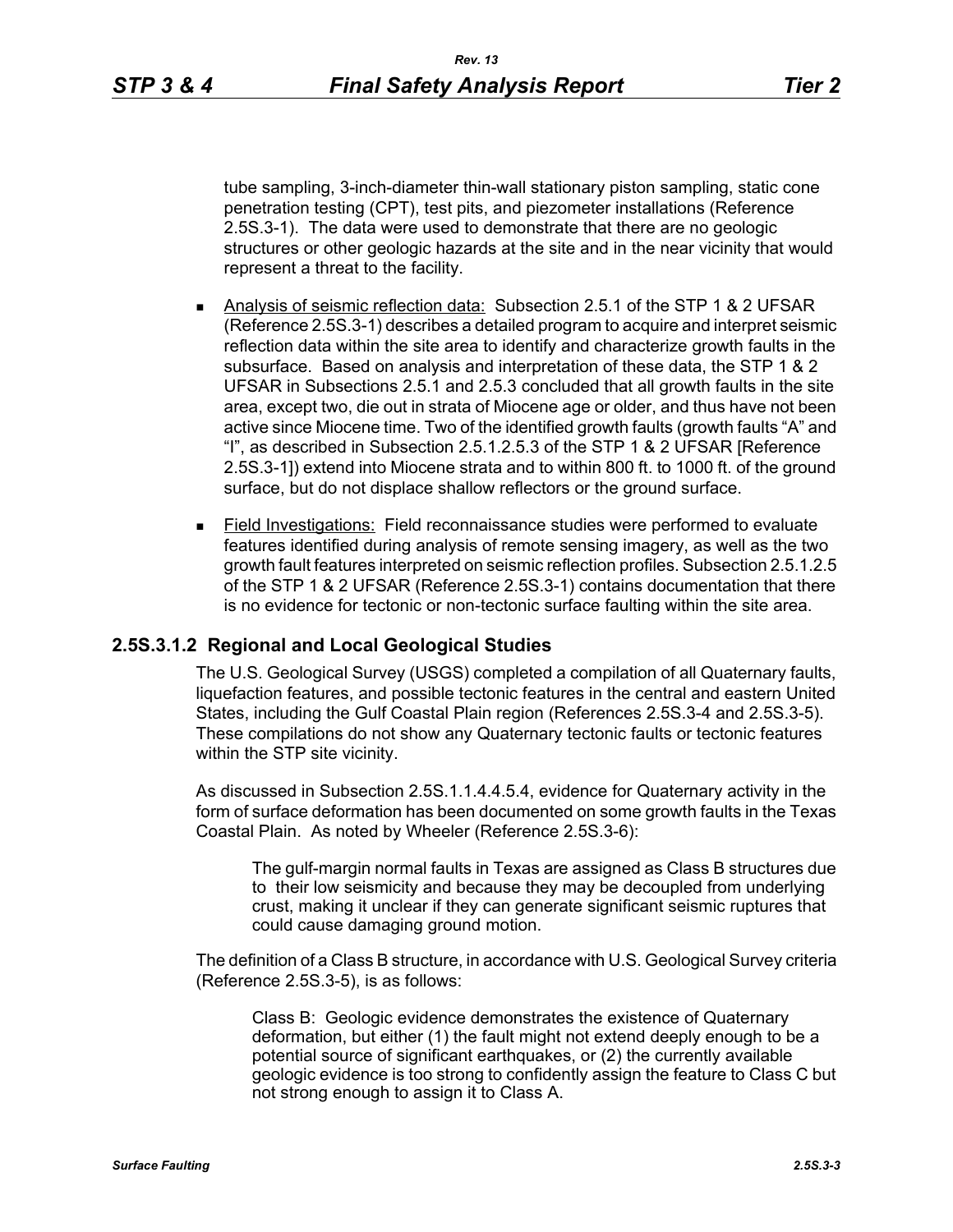penetration testing (CPT), test pits, and piezometer installations (Reference 2.5S.3-1). The data were used to demonstrate that there are no geologic structures or other geologic hazards at the site and in the near vicinity that would represent a threat to the facility.

- Analysis of seismic reflection data: Subsection 2.5.1 of the STP 1 & 2 UFSAR (Reference 2.5S.3-1) describes a detailed program to acquire and interpret seismic reflection data within the site area to identify and characterize growth faults in the subsurface. Based on analysis and interpretation of these data, the STP 1 & 2 UFSAR in Subsections 2.5.1 and 2.5.3 concluded that all growth faults in the site area, except two, die out in strata of Miocene age or older, and thus have not been active since Miocene time. Two of the identified growth faults (growth faults "A" and "I", as described in Subsection 2.5.1.2.5.3 of the STP 1 & 2 UFSAR [Reference 2.5S.3-1]) extend into Miocene strata and to within 800 ft. to 1000 ft. of the ground surface, but do not displace shallow reflectors or the ground surface.
- Field Investigations: Field reconnaissance studies were performed to evaluate features identified during analysis of remote sensing imagery, as well as the two growth fault features interpreted on seismic reflection profiles. Subsection 2.5.1.2.5 of the STP 1 & 2 UFSAR (Reference 2.5S.3-1) contains documentation that there is no evidence for tectonic or non-tectonic surface faulting within the site area.

# **2.5S.3.1.2 Regional and Local Geological Studies**

The U.S. Geological Survey (USGS) completed a compilation of all Quaternary faults, liquefaction features, and possible tectonic features in the central and eastern United States, including the Gulf Coastal Plain region (References 2.5S.3-4 and 2.5S.3-5). These compilations do not show any Quaternary tectonic faults or tectonic features within the STP site vicinity.

As discussed in Subsection 2.5S.1.1.4.4.5.4, evidence for Quaternary activity in the form of surface deformation has been documented on some growth faults in the Texas Coastal Plain. As noted by Wheeler (Reference 2.5S.3-6):

The gulf-margin normal faults in Texas are assigned as Class B structures due to their low seismicity and because they may be decoupled from underlying crust, making it unclear if they can generate significant seismic ruptures that could cause damaging ground motion.

The definition of a Class B structure, in accordance with U.S. Geological Survey criteria (Reference 2.5S.3-5), is as follows:

Class B: Geologic evidence demonstrates the existence of Quaternary deformation, but either (1) the fault might not extend deeply enough to be a potential source of significant earthquakes, or (2) the currently available geologic evidence is too strong to confidently assign the feature to Class C but not strong enough to assign it to Class A.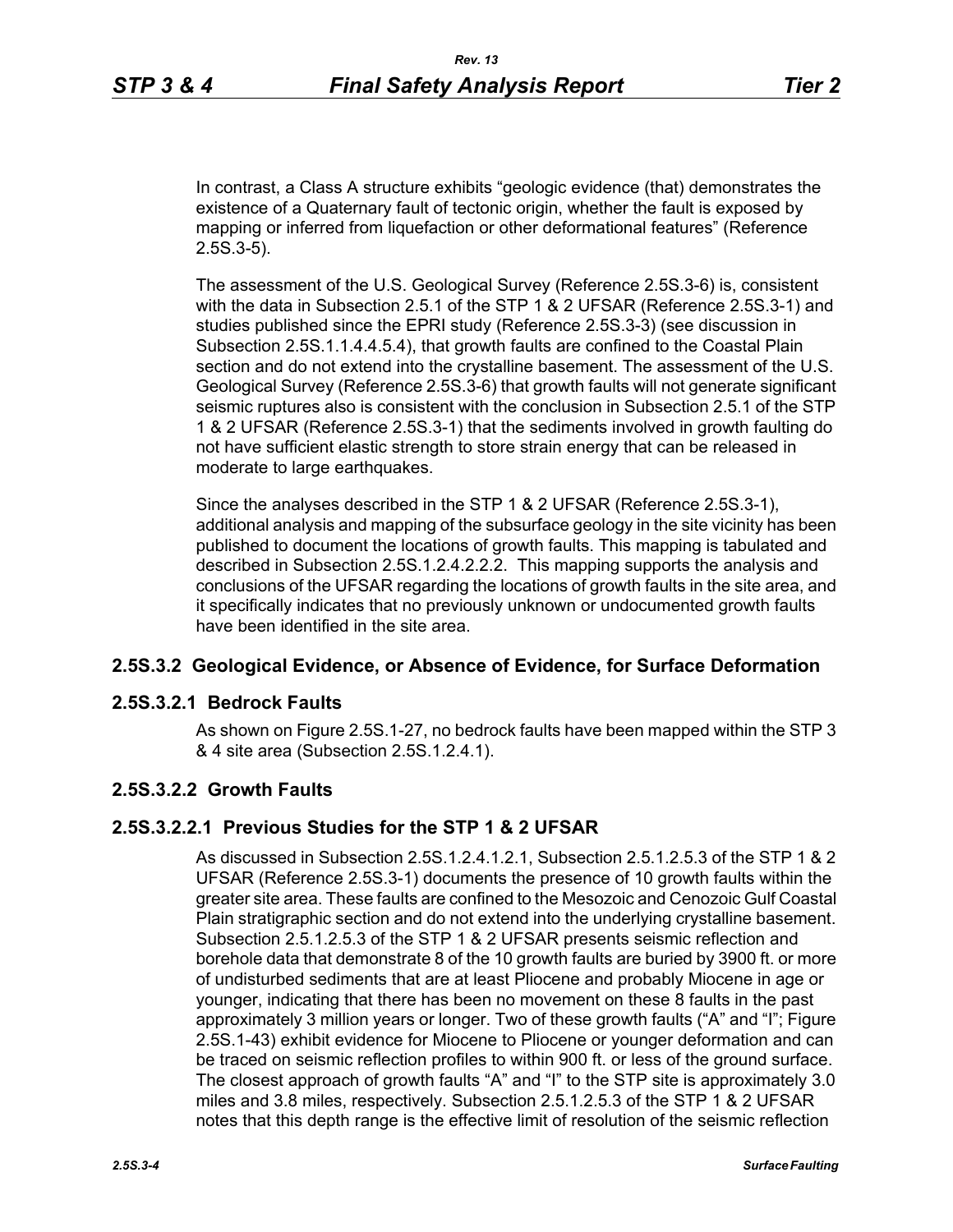In contrast, a Class A structure exhibits "geologic evidence (that) demonstrates the existence of a Quaternary fault of tectonic origin, whether the fault is exposed by mapping or inferred from liquefaction or other deformational features" (Reference 2.5S.3-5).

The assessment of the U.S. Geological Survey (Reference 2.5S.3-6) is, consistent with the data in Subsection 2.5.1 of the STP 1 & 2 UFSAR (Reference 2.5S.3-1) and studies published since the EPRI study (Reference 2.5S.3-3) (see discussion in Subsection 2.5S.1.1.4.4.5.4), that growth faults are confined to the Coastal Plain section and do not extend into the crystalline basement. The assessment of the U.S. Geological Survey (Reference 2.5S.3-6) that growth faults will not generate significant seismic ruptures also is consistent with the conclusion in Subsection 2.5.1 of the STP 1 & 2 UFSAR (Reference 2.5S.3-1) that the sediments involved in growth faulting do not have sufficient elastic strength to store strain energy that can be released in moderate to large earthquakes.

Since the analyses described in the STP 1 & 2 UFSAR (Reference 2.5S.3-1), additional analysis and mapping of the subsurface geology in the site vicinity has been published to document the locations of growth faults. This mapping is tabulated and described in Subsection 2.5S.1.2.4.2.2.2. This mapping supports the analysis and conclusions of the UFSAR regarding the locations of growth faults in the site area, and it specifically indicates that no previously unknown or undocumented growth faults have been identified in the site area.

# **2.5S.3.2 Geological Evidence, or Absence of Evidence, for Surface Deformation**

# **2.5S.3.2.1 Bedrock Faults**

As shown on Figure 2.5S.1-27, no bedrock faults have been mapped within the STP 3 & 4 site area (Subsection 2.5S.1.2.4.1).

# **2.5S.3.2.2 Growth Faults**

# **2.5S.3.2.2.1 Previous Studies for the STP 1 & 2 UFSAR**

As discussed in Subsection 2.5S.1.2.4.1.2.1, Subsection 2.5.1.2.5.3 of the STP 1 & 2 UFSAR (Reference 2.5S.3-1) documents the presence of 10 growth faults within the greater site area. These faults are confined to the Mesozoic and Cenozoic Gulf Coastal Plain stratigraphic section and do not extend into the underlying crystalline basement. Subsection 2.5.1.2.5.3 of the STP 1 & 2 UFSAR presents seismic reflection and borehole data that demonstrate 8 of the 10 growth faults are buried by 3900 ft. or more of undisturbed sediments that are at least Pliocene and probably Miocene in age or younger, indicating that there has been no movement on these 8 faults in the past approximately 3 million years or longer. Two of these growth faults ("A" and "I"; Figure 2.5S.1-43) exhibit evidence for Miocene to Pliocene or younger deformation and can be traced on seismic reflection profiles to within 900 ft. or less of the ground surface. The closest approach of growth faults "A" and "I" to the STP site is approximately 3.0 miles and 3.8 miles, respectively. Subsection 2.5.1.2.5.3 of the STP 1 & 2 UFSAR notes that this depth range is the effective limit of resolution of the seismic reflection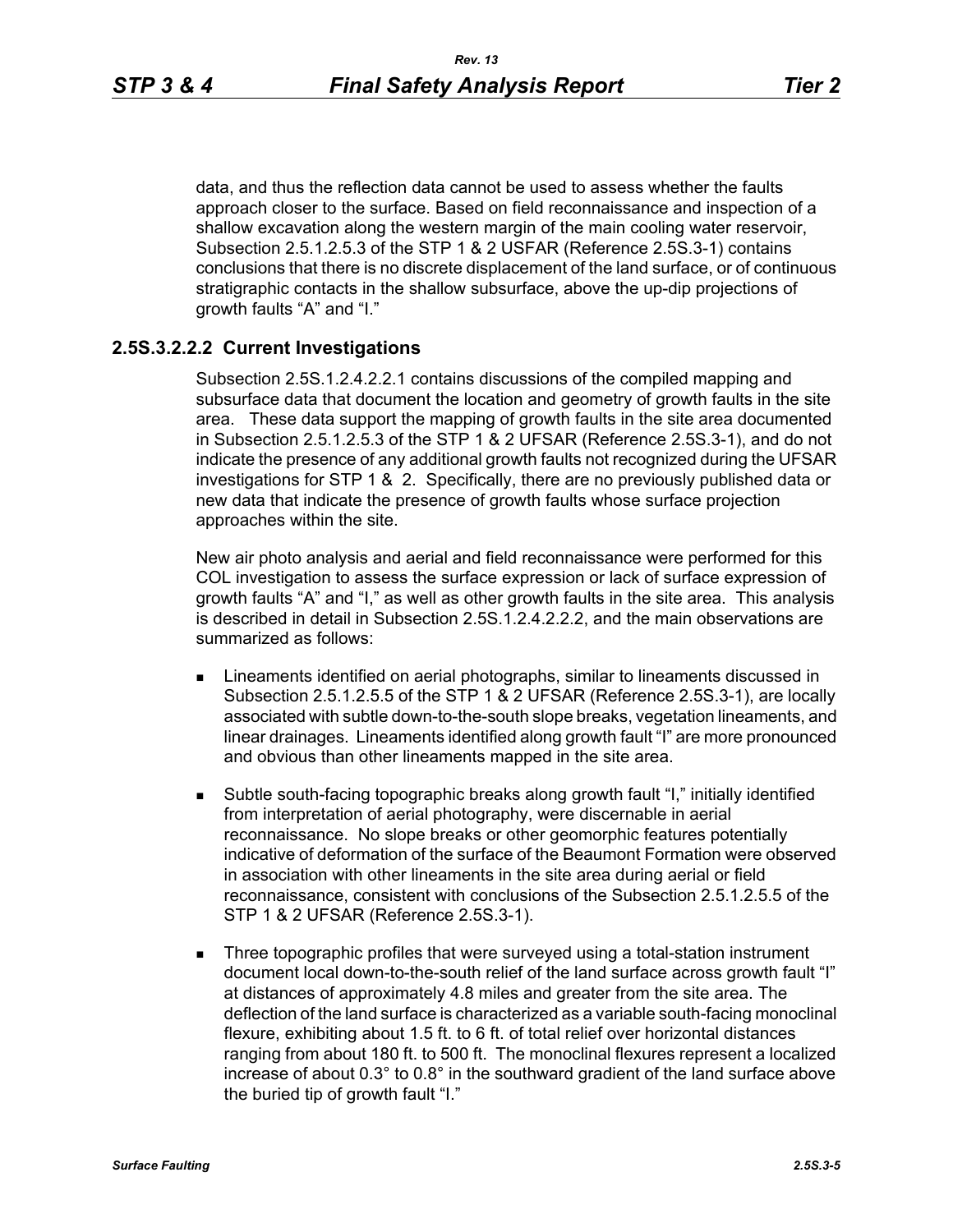data, and thus the reflection data cannot be used to assess whether the faults approach closer to the surface. Based on field reconnaissance and inspection of a shallow excavation along the western margin of the main cooling water reservoir, Subsection 2.5.1.2.5.3 of the STP 1 & 2 USFAR (Reference 2.5S.3-1) contains conclusions that there is no discrete displacement of the land surface, or of continuous stratigraphic contacts in the shallow subsurface, above the up-dip projections of growth faults "A" and "I."

#### **2.5S.3.2.2.2 Current Investigations**

Subsection 2.5S.1.2.4.2.2.1 contains discussions of the compiled mapping and subsurface data that document the location and geometry of growth faults in the site area. These data support the mapping of growth faults in the site area documented in Subsection 2.5.1.2.5.3 of the STP 1 & 2 UFSAR (Reference 2.5S.3-1), and do not indicate the presence of any additional growth faults not recognized during the UFSAR investigations for STP 1 & 2. Specifically, there are no previously published data or new data that indicate the presence of growth faults whose surface projection approaches within the site.

New air photo analysis and aerial and field reconnaissance were performed for this COL investigation to assess the surface expression or lack of surface expression of growth faults "A" and "I," as well as other growth faults in the site area. This analysis is described in detail in Subsection 2.5S.1.2.4.2.2.2, and the main observations are summarized as follows:

- **EXTERGHEED EXECUTE:** Lineaments identified on aerial photographs, similar to lineaments discussed in Subsection 2.5.1.2.5.5 of the STP 1 & 2 UFSAR (Reference 2.5S.3-1), are locally associated with subtle down-to-the-south slope breaks, vegetation lineaments, and linear drainages. Lineaments identified along growth fault "I" are more pronounced and obvious than other lineaments mapped in the site area.
- Subtle south-facing topographic breaks along growth fault "I," initially identified from interpretation of aerial photography, were discernable in aerial reconnaissance. No slope breaks or other geomorphic features potentially indicative of deformation of the surface of the Beaumont Formation were observed in association with other lineaments in the site area during aerial or field reconnaissance, consistent with conclusions of the Subsection 2.5.1.2.5.5 of the STP 1 & 2 UFSAR (Reference 2.5S.3-1).
- **Three topographic profiles that were surveyed using a total-station instrument** document local down-to-the-south relief of the land surface across growth fault "I" at distances of approximately 4.8 miles and greater from the site area. The deflection of the land surface is characterized as a variable south-facing monoclinal flexure, exhibiting about 1.5 ft. to 6 ft. of total relief over horizontal distances ranging from about 180 ft. to 500 ft. The monoclinal flexures represent a localized increase of about 0.3° to 0.8° in the southward gradient of the land surface above the buried tip of growth fault "I."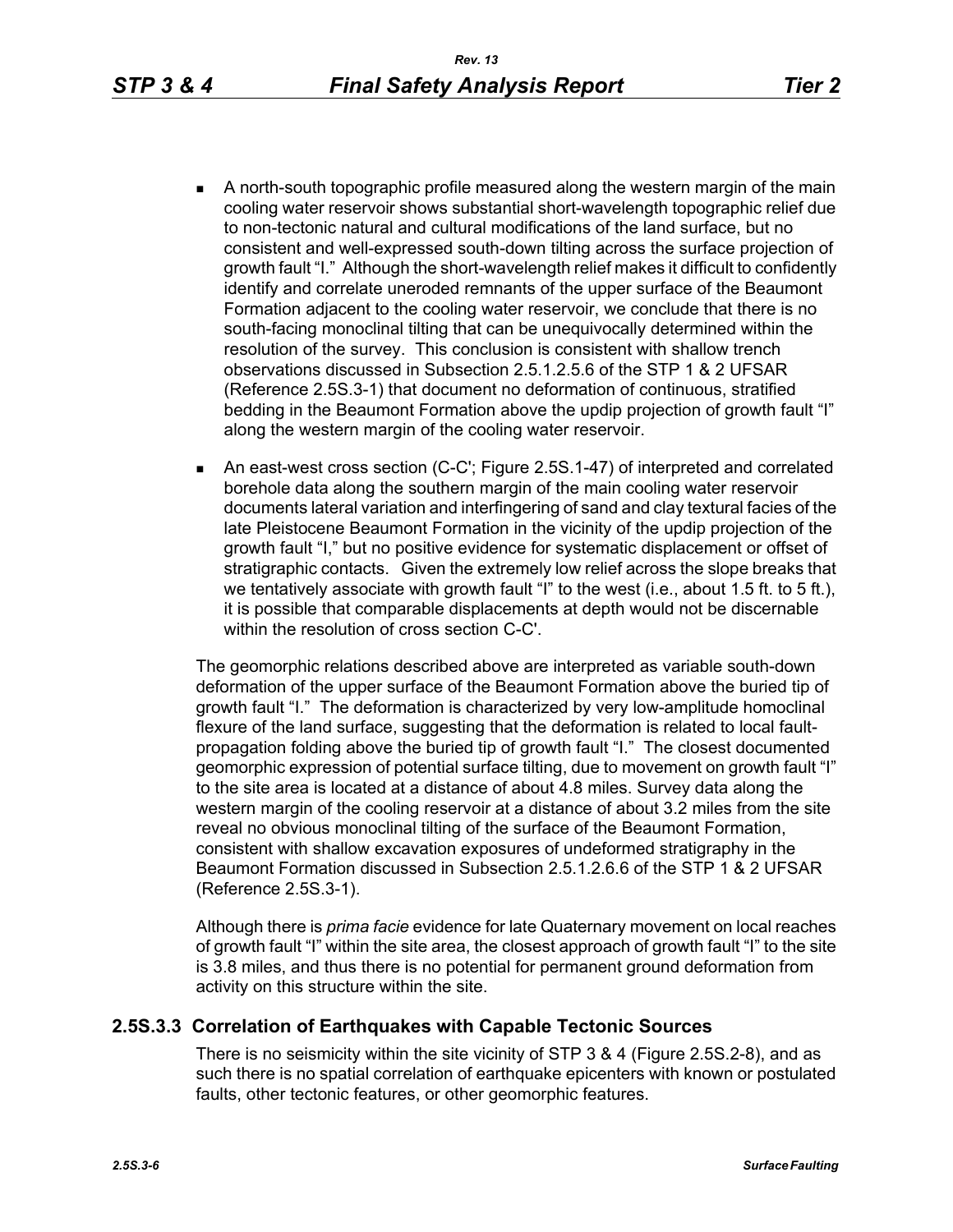- A north-south topographic profile measured along the western margin of the main cooling water reservoir shows substantial short-wavelength topographic relief due to non-tectonic natural and cultural modifications of the land surface, but no consistent and well-expressed south-down tilting across the surface projection of growth fault "I." Although the short-wavelength relief makes it difficult to confidently identify and correlate uneroded remnants of the upper surface of the Beaumont Formation adjacent to the cooling water reservoir, we conclude that there is no south-facing monoclinal tilting that can be unequivocally determined within the resolution of the survey. This conclusion is consistent with shallow trench observations discussed in Subsection 2.5.1.2.5.6 of the STP 1 & 2 UFSAR (Reference 2.5S.3-1) that document no deformation of continuous, stratified bedding in the Beaumont Formation above the updip projection of growth fault "I" along the western margin of the cooling water reservoir.
- An east-west cross section (C-C'; Figure 2.5S.1-47) of interpreted and correlated borehole data along the southern margin of the main cooling water reservoir documents lateral variation and interfingering of sand and clay textural facies of the late Pleistocene Beaumont Formation in the vicinity of the updip projection of the growth fault "I," but no positive evidence for systematic displacement or offset of stratigraphic contacts. Given the extremely low relief across the slope breaks that we tentatively associate with growth fault "I" to the west (i.e., about 1.5 ft. to 5 ft.), it is possible that comparable displacements at depth would not be discernable within the resolution of cross section C-C'.

The geomorphic relations described above are interpreted as variable south-down deformation of the upper surface of the Beaumont Formation above the buried tip of growth fault "I." The deformation is characterized by very low-amplitude homoclinal flexure of the land surface, suggesting that the deformation is related to local faultpropagation folding above the buried tip of growth fault "I." The closest documented geomorphic expression of potential surface tilting, due to movement on growth fault "I" to the site area is located at a distance of about 4.8 miles. Survey data along the western margin of the cooling reservoir at a distance of about 3.2 miles from the site reveal no obvious monoclinal tilting of the surface of the Beaumont Formation, consistent with shallow excavation exposures of undeformed stratigraphy in the Beaumont Formation discussed in Subsection 2.5.1.2.6.6 of the STP 1 & 2 UFSAR (Reference 2.5S.3-1).

Although there is *prima facie* evidence for late Quaternary movement on local reaches of growth fault "I" within the site area, the closest approach of growth fault "I" to the site is 3.8 miles, and thus there is no potential for permanent ground deformation from activity on this structure within the site.

### **2.5S.3.3 Correlation of Earthquakes with Capable Tectonic Sources**

There is no seismicity within the site vicinity of STP 3 & 4 (Figure 2.5S.2-8), and as such there is no spatial correlation of earthquake epicenters with known or postulated faults, other tectonic features, or other geomorphic features.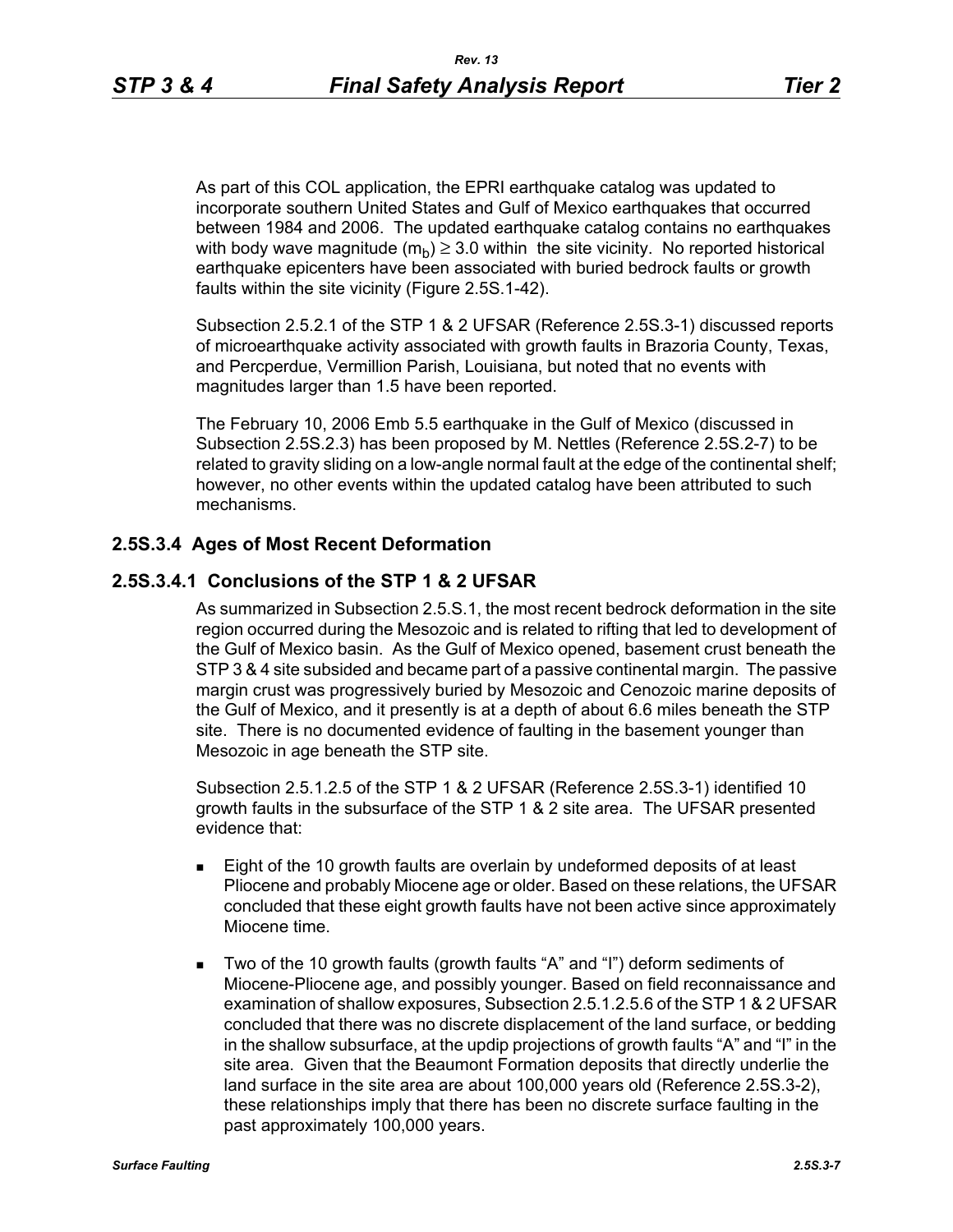As part of this COL application, the EPRI earthquake catalog was updated to incorporate southern United States and Gulf of Mexico earthquakes that occurred between 1984 and 2006. The updated earthquake catalog contains no earthquakes with body wave magnitude  $(m_h) \geq 3.0$  within the site vicinity. No reported historical earthquake epicenters have been associated with buried bedrock faults or growth faults within the site vicinity (Figure 2.5S.1-42).

Subsection 2.5.2.1 of the STP 1 & 2 UFSAR (Reference 2.5S.3-1) discussed reports of microearthquake activity associated with growth faults in Brazoria County, Texas, and Percperdue, Vermillion Parish, Louisiana, but noted that no events with magnitudes larger than 1.5 have been reported.

The February 10, 2006 Emb 5.5 earthquake in the Gulf of Mexico (discussed in Subsection 2.5S.2.3) has been proposed by M. Nettles (Reference 2.5S.2-7) to be related to gravity sliding on a low-angle normal fault at the edge of the continental shelf; however, no other events within the updated catalog have been attributed to such mechanisms.

### **2.5S.3.4 Ages of Most Recent Deformation**

### **2.5S.3.4.1 Conclusions of the STP 1 & 2 UFSAR**

As summarized in Subsection 2.5.S.1, the most recent bedrock deformation in the site region occurred during the Mesozoic and is related to rifting that led to development of the Gulf of Mexico basin. As the Gulf of Mexico opened, basement crust beneath the STP 3 & 4 site subsided and became part of a passive continental margin. The passive margin crust was progressively buried by Mesozoic and Cenozoic marine deposits of the Gulf of Mexico, and it presently is at a depth of about 6.6 miles beneath the STP site. There is no documented evidence of faulting in the basement younger than Mesozoic in age beneath the STP site.

Subsection 2.5.1.2.5 of the STP 1 & 2 UFSAR (Reference 2.5S.3-1) identified 10 growth faults in the subsurface of the STP 1 & 2 site area. The UFSAR presented evidence that:

- **Eight of the 10 growth faults are overlain by undeformed deposits of at least** Pliocene and probably Miocene age or older. Based on these relations, the UFSAR concluded that these eight growth faults have not been active since approximately Miocene time.
- Two of the 10 growth faults (growth faults "A" and "I") deform sediments of Miocene-Pliocene age, and possibly younger. Based on field reconnaissance and examination of shallow exposures, Subsection 2.5.1.2.5.6 of the STP 1 & 2 UFSAR concluded that there was no discrete displacement of the land surface, or bedding in the shallow subsurface, at the updip projections of growth faults "A" and "I" in the site area. Given that the Beaumont Formation deposits that directly underlie the land surface in the site area are about 100,000 years old (Reference 2.5S.3-2), these relationships imply that there has been no discrete surface faulting in the past approximately 100,000 years.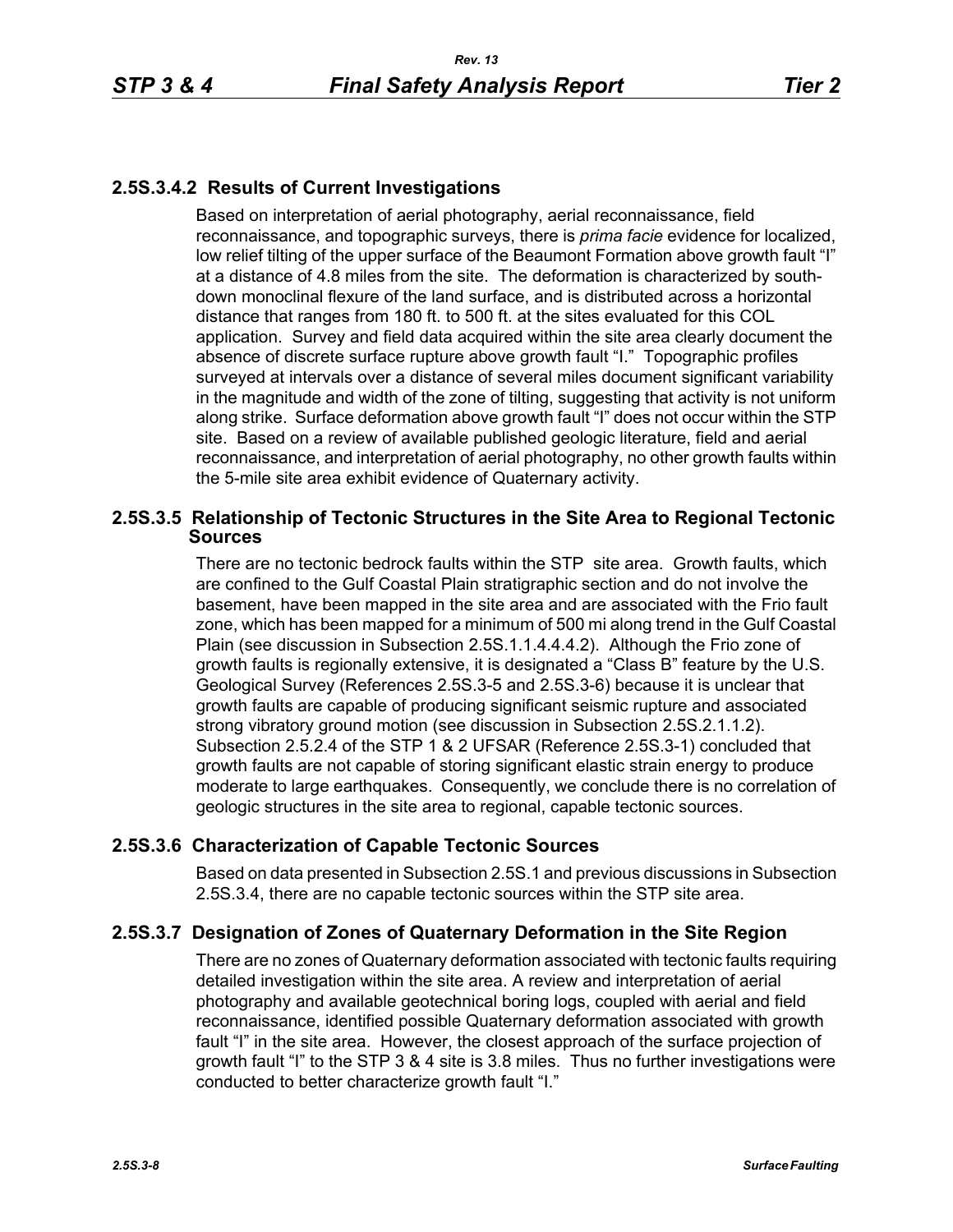# **2.5S.3.4.2 Results of Current Investigations**

Based on interpretation of aerial photography, aerial reconnaissance, field reconnaissance, and topographic surveys, there is *prima facie* evidence for localized, low relief tilting of the upper surface of the Beaumont Formation above growth fault "I" at a distance of 4.8 miles from the site. The deformation is characterized by southdown monoclinal flexure of the land surface, and is distributed across a horizontal distance that ranges from 180 ft. to 500 ft. at the sites evaluated for this COL application. Survey and field data acquired within the site area clearly document the absence of discrete surface rupture above growth fault "I." Topographic profiles surveyed at intervals over a distance of several miles document significant variability in the magnitude and width of the zone of tilting, suggesting that activity is not uniform along strike. Surface deformation above growth fault "I" does not occur within the STP site. Based on a review of available published geologic literature, field and aerial reconnaissance, and interpretation of aerial photography, no other growth faults within the 5-mile site area exhibit evidence of Quaternary activity.

### **2.5S.3.5 Relationship of Tectonic Structures in the Site Area to Regional Tectonic Sources**

There are no tectonic bedrock faults within the STP site area. Growth faults, which are confined to the Gulf Coastal Plain stratigraphic section and do not involve the basement, have been mapped in the site area and are associated with the Frio fault zone, which has been mapped for a minimum of 500 mi along trend in the Gulf Coastal Plain (see discussion in Subsection 2.5S.1.1.4.4.4.2). Although the Frio zone of growth faults is regionally extensive, it is designated a "Class B" feature by the U.S. Geological Survey (References 2.5S.3-5 and 2.5S.3-6) because it is unclear that growth faults are capable of producing significant seismic rupture and associated strong vibratory ground motion (see discussion in Subsection 2.5S.2.1.1.2). Subsection 2.5.2.4 of the STP 1 & 2 UFSAR (Reference 2.5S.3-1) concluded that growth faults are not capable of storing significant elastic strain energy to produce moderate to large earthquakes. Consequently, we conclude there is no correlation of geologic structures in the site area to regional, capable tectonic sources.

# **2.5S.3.6 Characterization of Capable Tectonic Sources**

Based on data presented in Subsection 2.5S.1 and previous discussions in Subsection 2.5S.3.4, there are no capable tectonic sources within the STP site area.

# **2.5S.3.7 Designation of Zones of Quaternary Deformation in the Site Region**

There are no zones of Quaternary deformation associated with tectonic faults requiring detailed investigation within the site area. A review and interpretation of aerial photography and available geotechnical boring logs, coupled with aerial and field reconnaissance, identified possible Quaternary deformation associated with growth fault "I" in the site area. However, the closest approach of the surface projection of growth fault "I" to the STP 3 & 4 site is 3.8 miles. Thus no further investigations were conducted to better characterize growth fault "I."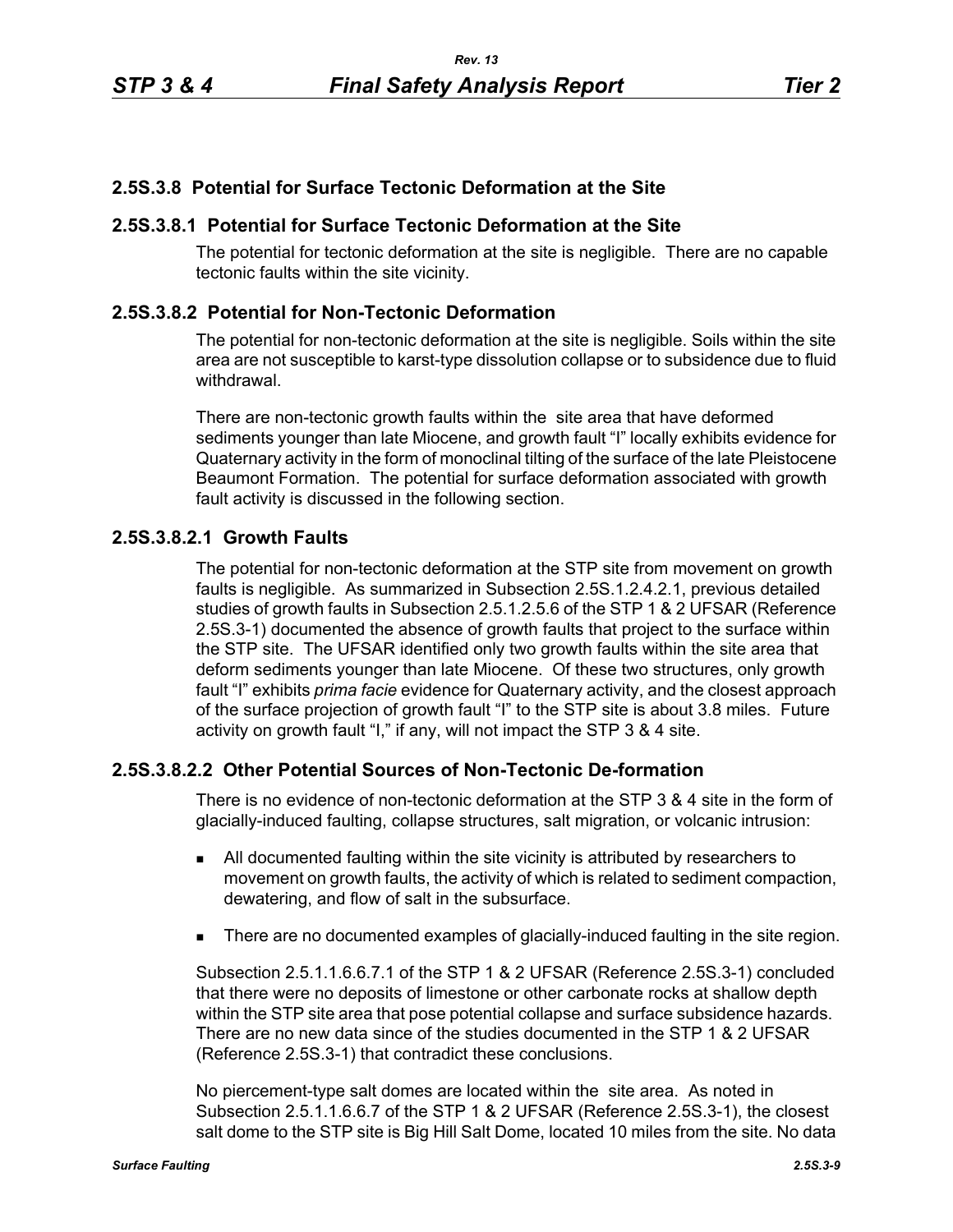### **2.5S.3.8 Potential for Surface Tectonic Deformation at the Site**

### **2.5S.3.8.1 Potential for Surface Tectonic Deformation at the Site**

The potential for tectonic deformation at the site is negligible. There are no capable tectonic faults within the site vicinity.

### **2.5S.3.8.2 Potential for Non-Tectonic Deformation**

The potential for non-tectonic deformation at the site is negligible. Soils within the site area are not susceptible to karst-type dissolution collapse or to subsidence due to fluid withdrawal.

There are non-tectonic growth faults within the site area that have deformed sediments younger than late Miocene, and growth fault "I" locally exhibits evidence for Quaternary activity in the form of monoclinal tilting of the surface of the late Pleistocene Beaumont Formation. The potential for surface deformation associated with growth fault activity is discussed in the following section.

### **2.5S.3.8.2.1 Growth Faults**

The potential for non-tectonic deformation at the STP site from movement on growth faults is negligible. As summarized in Subsection 2.5S.1.2.4.2.1, previous detailed studies of growth faults in Subsection 2.5.1.2.5.6 of the STP 1 & 2 UFSAR (Reference 2.5S.3-1) documented the absence of growth faults that project to the surface within the STP site. The UFSAR identified only two growth faults within the site area that deform sediments younger than late Miocene. Of these two structures, only growth fault "I" exhibits *prima facie* evidence for Quaternary activity, and the closest approach of the surface projection of growth fault "I" to the STP site is about 3.8 miles. Future activity on growth fault "I," if any, will not impact the STP 3 & 4 site.

### **2.5S.3.8.2.2 Other Potential Sources of Non-Tectonic De-formation**

There is no evidence of non-tectonic deformation at the STP 3 & 4 site in the form of glacially-induced faulting, collapse structures, salt migration, or volcanic intrusion:

- All documented faulting within the site vicinity is attributed by researchers to movement on growth faults, the activity of which is related to sediment compaction, dewatering, and flow of salt in the subsurface.
- There are no documented examples of glacially-induced faulting in the site region.

Subsection 2.5.1.1.6.6.7.1 of the STP 1 & 2 UFSAR (Reference 2.5S.3-1) concluded that there were no deposits of limestone or other carbonate rocks at shallow depth within the STP site area that pose potential collapse and surface subsidence hazards. There are no new data since of the studies documented in the STP 1 & 2 UFSAR (Reference 2.5S.3-1) that contradict these conclusions.

No piercement-type salt domes are located within the site area. As noted in Subsection 2.5.1.1.6.6.7 of the STP 1 & 2 UFSAR (Reference 2.5S.3-1), the closest salt dome to the STP site is Big Hill Salt Dome, located 10 miles from the site. No data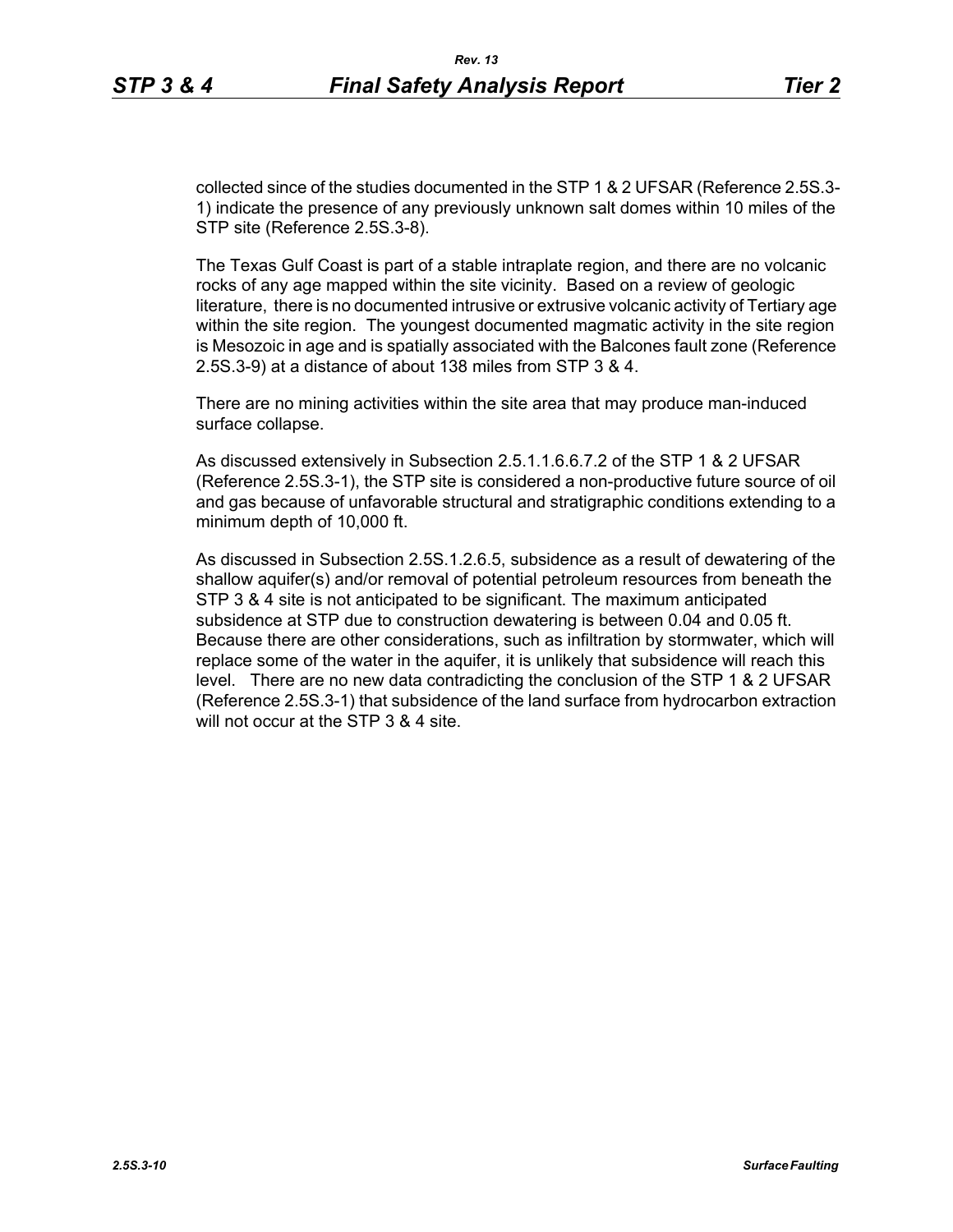collected since of the studies documented in the STP 1 & 2 UFSAR (Reference 2.5S.3- 1) indicate the presence of any previously unknown salt domes within 10 miles of the STP site (Reference 2.5S.3-8).

The Texas Gulf Coast is part of a stable intraplate region, and there are no volcanic rocks of any age mapped within the site vicinity. Based on a review of geologic literature, there is no documented intrusive or extrusive volcanic activity of Tertiary age within the site region. The youngest documented magmatic activity in the site region is Mesozoic in age and is spatially associated with the Balcones fault zone (Reference 2.5S.3-9) at a distance of about 138 miles from STP 3 & 4.

There are no mining activities within the site area that may produce man-induced surface collapse.

As discussed extensively in Subsection 2.5.1.1.6.6.7.2 of the STP 1 & 2 UFSAR (Reference 2.5S.3-1), the STP site is considered a non-productive future source of oil and gas because of unfavorable structural and stratigraphic conditions extending to a minimum depth of 10,000 ft.

As discussed in Subsection 2.5S.1.2.6.5, subsidence as a result of dewatering of the shallow aquifer(s) and/or removal of potential petroleum resources from beneath the STP 3 & 4 site is not anticipated to be significant. The maximum anticipated subsidence at STP due to construction dewatering is between 0.04 and 0.05 ft. Because there are other considerations, such as infiltration by stormwater, which will replace some of the water in the aquifer, it is unlikely that subsidence will reach this level. There are no new data contradicting the conclusion of the STP 1 & 2 UFSAR (Reference 2.5S.3-1) that subsidence of the land surface from hydrocarbon extraction will not occur at the STP 3 & 4 site.